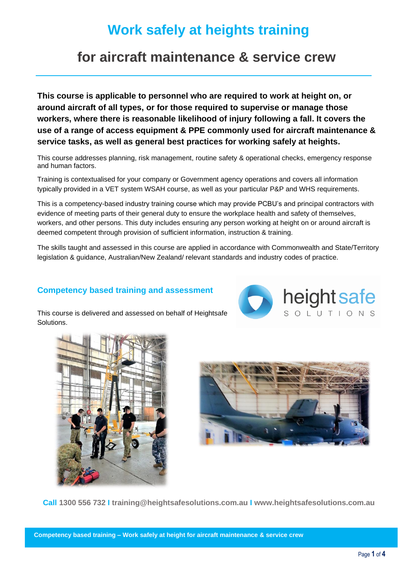# **Work safely at heights training**

# **for aircraft maintenance & service crew**

**This course is applicable to personnel who are required to work at height on, or around aircraft of all types, or for those required to supervise or manage those workers, where there is reasonable likelihood of injury following a fall. It covers the use of a range of access equipment & PPE commonly used for aircraft maintenance & service tasks, as well as general best practices for working safely at heights.**

This course addresses planning, risk management, routine safety & operational checks, emergency response and human factors.

Training is contextualised for your company or Government agency operations and covers all information typically provided in a VET system WSAH course, as well as your particular P&P and WHS requirements.

This is a competency-based industry training course which may provide PCBU's and principal contractors with evidence of meeting parts of their general duty to ensure the workplace health and safety of themselves, workers, and other persons. This duty includes ensuring any person working at height on or around aircraft is deemed competent through provision of sufficient information, instruction & training.

The skills taught and assessed in this course are applied in accordance with Commonwealth and State/Territory legislation & guidance, Australian/New Zealand/ relevant standards and industry codes of practice.

### **Competency based training and assessment**



This course is delivered and assessed on behalf of Heightsafe Solutions.





**Call 1300 556 732 I training@heightsafesolutions.com.au I www.heightsafesolutions.com.au**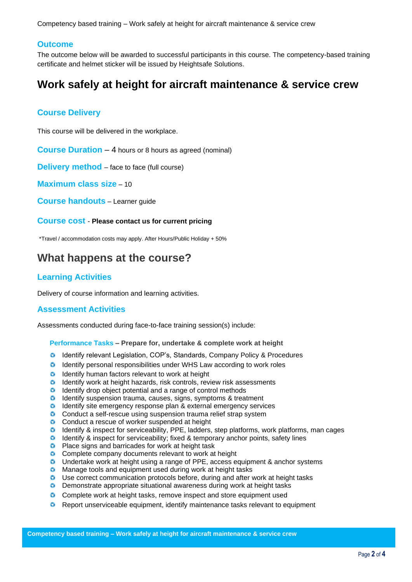Competency based training – Work safely at height for aircraft maintenance & service crew

#### **Outcome**

The outcome below will be awarded to successful participants in this course. The competency-based training certificate and helmet sticker will be issued by Heightsafe Solutions.

# **Work safely at height for aircraft maintenance & service crew**

#### **Course Delivery**

This course will be delivered in the workplace.

**Course Duration – 4 hours or 8 hours as agreed (nominal)** 

**Delivery method** – face to face (full course)

**Maximum class size** – 10

**Course handouts** – Learner guide

**Course cost** - **Please contact us for current pricing**

\*Travel / accommodation costs may apply. After Hours/Public Holiday + 50%

## **What happens at the course?**

#### **Learning Activities**

Delivery of course information and learning activities.

#### **Assessment Activities**

Assessments conducted during face-to-face training session(s) include:

**Performance Tasks – Prepare for, undertake & complete work at height** 

- Identify relevant Legislation, COP's, Standards, Company Policy & Procedures
- Identify personal responsibilities under WHS Law according to work roles
- **C** Identify human factors relevant to work at height
- $\bullet$  Identify work at height hazards, risk controls, review risk assessments
- **O** Identify drop object potential and a range of control methods
- **O** Identify suspension trauma, causes, signs, symptoms & treatment
- **O** Identify site emergency response plan & external emergency services
- **C** Conduct a self-rescue using suspension trauma relief strap system
- **C** Conduct a rescue of worker suspended at height
- **C** Identify & inspect for serviceability, PPE, ladders, step platforms, work platforms, man cages
- Identify & inspect for serviceability; fixed & temporary anchor points, safety lines
- **C** Place signs and barricades for work at height task
- **C** Complete company documents relevant to work at height
- Undertake work at height using a range of PPE, access equipment & anchor systems
- $\bullet$ Manage tools and equipment used during work at height tasks
- Use correct communication protocols before, during and after work at height tasks
- **D** Demonstrate appropriate situational awareness during work at height tasks
- **C** Complete work at height tasks, remove inspect and store equipment used
- **C** Report unserviceable equipment, identify maintenance tasks relevant to equipment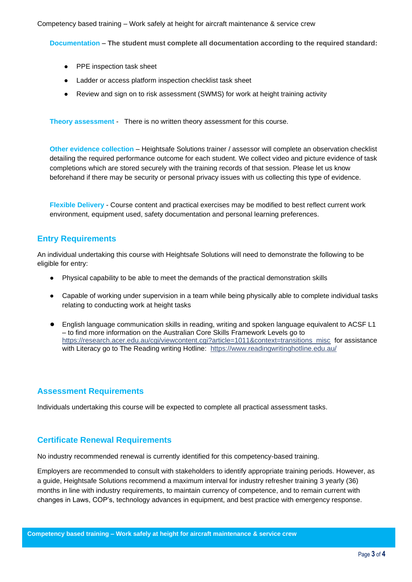Competency based training – Work safely at height for aircraft maintenance & service crew

**Documentation – The student must complete all documentation according to the required standard:**

- PPE inspection task sheet
- Ladder or access platform inspection checklist task sheet
- Review and sign on to risk assessment (SWMS) for work at height training activity

**Theory assessment** - There is no written theory assessment for this course.

**Other evidence collection** – Heightsafe Solutions trainer / assessor will complete an observation checklist detailing the required performance outcome for each student. We collect video and picture evidence of task completions which are stored securely with the training records of that session. Please let us know beforehand if there may be security or personal privacy issues with us collecting this type of evidence.

**Flexible Delivery** - Course content and practical exercises may be modified to best reflect current work environment, equipment used, safety documentation and personal learning preferences.

## **Entry Requirements**

An individual undertaking this course with Heightsafe Solutions will need to demonstrate the following to be eligible for entry:

- Physical capability to be able to meet the demands of the practical demonstration skills
- Capable of working under supervision in a team while being physically able to complete individual tasks relating to conducting work at height tasks
- English language communication skills in reading, writing and spoken language equivalent to ACSF L1 – to find more information on the Australian Core Skills Framework Levels go to https://research.acer.edu.au/cgi/viewcontent.cgi?article=1011&context=transitions\_misc\_for assistance with Literacy go to The Reading writing Hotline: <https://www.readingwritinghotline.edu.au/>

#### **Assessment Requirements**

Individuals undertaking this course will be expected to complete all practical assessment tasks.

#### **Certificate Renewal Requirements**

No industry recommended renewal is currently identified for this competency-based training.

Employers are recommended to consult with stakeholders to identify appropriate training periods. However, as a guide, Heightsafe Solutions recommend a maximum interval for industry refresher training 3 yearly (36) months in line with industry requirements, to maintain currency of competence, and to remain current with changes in Laws, COP's, technology advances in equipment, and best practice with emergency response.